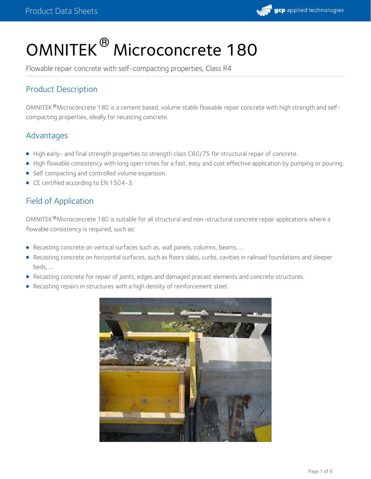

# OMNITEK<sup>®</sup> Microconcrete 180

Flowable repair concrete with self-compacting properties, Class R4

## Product Description

OMNITEK®Microconcrete 180 is a cement based, volume stable flowable repair concrete with high strength and selfcompacting properties, ideally for recasting concrete.

## Advantages

- High early- and final strength properties to strength class C60/75 for structural repair of concrete.
- High flowable consistency with long open times for a fast, easy and cost effective application by pumping or pouring.
- Self compacting and controlled volume expansion.
- CE certified according to EN 1504-3.

## Field of Application

OMNITEK®Microconcrete 180 is suitable for all structural and non-structural concrete repair applications where a flowable consistency is required, such as:

- Recasting concrete on vertical surfaces such as, wall panels, columns, beams, ...
- Recasting concrete on horizontal surfaces, such as floors slabs, curbs, cavities in railroad foundations and sleeper beds, ...
- Recasting concrete for repair of joints, edges and damaged precast elements and concrete structures.
- Recasting repairs in structures with a high density of reinforcement steel.

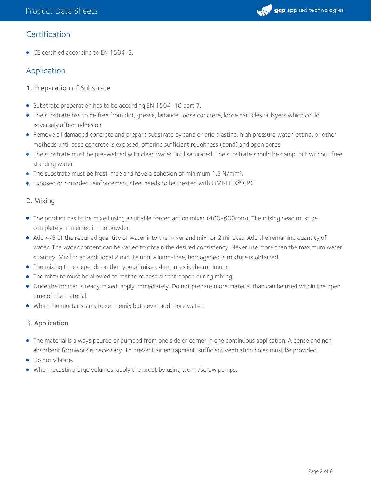

## **Certification**

● CE certified according to EN 1504-3.

# Application

- 1. Preparation of Substrate
- Substrate preparation has to be according EN 1504-10 part 7.
- The substrate has to be free from dirt, grease, laitance, loose concrete, loose particles or layers which could adversely affect adhesion.
- Remove all damaged concrete and prepare substrate by sand or grid blasting, high pressure water jetting, or other methods until base concrete is exposed, offering sufficient roughness (bond) and open pores.
- The substrate must be pre-wetted with clean water until saturated. The substrate should be damp, but without free standing water.
- The substrate must be frost-free and have a cohesion of minimum 1.5 N/mm<sup>2</sup>.
- **Exposed or corroded reinforcement steel needs to be treated with OMNITEK® CPC.**

### 2. Mixing

- The product has to be mixed using a suitable forced action mixer (400-600rpm). The mixing head must be completely immersed in the powder.
- Add 4/5 of the required quantity of water into the mixer and mix for 2 minutes. Add the remaining quantity of water. The water content can be varied to obtain the desired consistency. Never use more than the maximum water quantity. Mix for an additional 2 minute until a lump-free, homogeneous mixture is obtained.
- The mixing time depends on the type of mixer. 4 minutes is the minimum.
- The mixture must be allowed to rest to release air entrapped during mixing.
- Once the mortar is ready mixed, apply immediately. Do not prepare more material than can be used within the open time of the material.
- When the mortar starts to set, remix but never add more water.

### 3. Application

- The material is always poured or pumped from one side or corner in one continuous application. A dense and nonabsorbent formwork is necessary. To prevent air entrapment, sufficient ventilation holes must be provided.
- Do not vibrate.
- When recasting large volumes, apply the grout by using worm/screw pumps.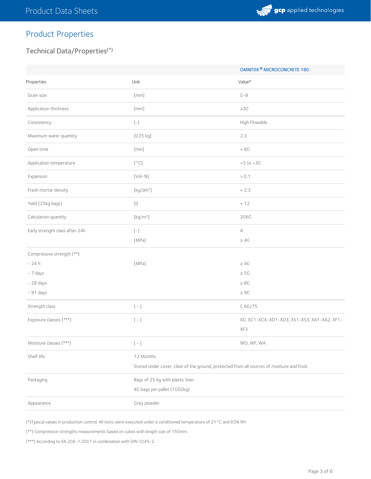

# Product Properties

## Technical Data/Properties (\*)

|                                |                                                                                                                                                                                                                                                                                                    | OMNITEK <sup>®</sup> MICROCONCRETE 180       |
|--------------------------------|----------------------------------------------------------------------------------------------------------------------------------------------------------------------------------------------------------------------------------------------------------------------------------------------------|----------------------------------------------|
| Properties                     | Unit                                                                                                                                                                                                                                                                                               | Value*                                       |
| Grain size                     | $[\text{mm}]$                                                                                                                                                                                                                                                                                      | $0 - 8$                                      |
| Application thickness          | $[\text{mm}]$                                                                                                                                                                                                                                                                                      | $\geq$ 30                                    |
| Consistency                    | $\left[\begin{smallmatrix} - \end{smallmatrix}\right]$                                                                                                                                                                                                                                             | High Flowable                                |
| Maximum water quantity         | [l/25 kg]                                                                                                                                                                                                                                                                                          | 2.3                                          |
| Open time                      | [min]                                                                                                                                                                                                                                                                                              | $\approx 60$                                 |
| Application temperature        | $\left[\begin{smallmatrix}\circ\end{smallmatrix}C\right]$                                                                                                                                                                                                                                          | $+5$ to $+30$                                |
| Expansion                      | $[Vol-%] % \begin{center} \includegraphics[width=0.8\textwidth]{Figures/PN1.png} \end{center} % \caption{The figure shows the number of two different types of the estimators in the image. The number of different types of the two different graphs are shown in the image.} \label{fig:SPN1} %$ | > 0.1                                        |
| Fresh mortar density           | $\left[\mathrm{kg}/\mathrm{dm}^3\right]$                                                                                                                                                                                                                                                           | $\approx$ 2.3                                |
| Yield (25kg bags)              | $\left[ \left\vert {}\right] \right]$                                                                                                                                                                                                                                                              | $\approx$ 12                                 |
| Calculation quantity           | [kg/m <sup>3</sup> ]                                                                                                                                                                                                                                                                               | 2060                                         |
| Early strength class after 24h | $\left[\begin{smallmatrix} - \end{smallmatrix}\right]$                                                                                                                                                                                                                                             | А                                            |
|                                | [MPa]                                                                                                                                                                                                                                                                                              | $\geq 40$                                    |
| Compressive strength (**)      |                                                                                                                                                                                                                                                                                                    |                                              |
| $-24h$                         | [MPa]                                                                                                                                                                                                                                                                                              | $\geq 40$                                    |
| - 7 days                       |                                                                                                                                                                                                                                                                                                    | $\geq 50$                                    |
| $-28$ days                     |                                                                                                                                                                                                                                                                                                    | $\geq 80$                                    |
| $-91$ days                     |                                                                                                                                                                                                                                                                                                    | $\geq 90$                                    |
| Strength class                 | $\left[\begin{array}{cc} - \end{array}\right]$                                                                                                                                                                                                                                                     | C 60/75                                      |
| Exposure classes (***)         | $\left[\begin{array}{cc} - \end{array}\right]$                                                                                                                                                                                                                                                     | X0, XC1-XC4, XD1-XD3, XS1-XS3, XA1-XA2, XF1- |
|                                |                                                                                                                                                                                                                                                                                                    | XF3                                          |
| Moisture classes (***)         | $\left[\begin{array}{c} - \end{array}\right]$                                                                                                                                                                                                                                                      | WO, WF, WA                                   |
| Shelf life                     | 12 Months                                                                                                                                                                                                                                                                                          |                                              |
|                                | Stored under cover, clear of the ground, protected from all sources of moisture and frost.                                                                                                                                                                                                         |                                              |
| Packaging                      | Bags of 25 kg with plastic liner.                                                                                                                                                                                                                                                                  |                                              |
|                                | 40 bags per pallet (1000kg)                                                                                                                                                                                                                                                                        |                                              |
| Appearance                     | Grey powder                                                                                                                                                                                                                                                                                        |                                              |

(\*)Typical values in production control. All tests were executed under a conditioned temperature of 21°C and 65% RH.

(\*\*) Compressive strengths measurements based on cubes with length size of 150mm.

(\*\*\*) According to EN 206-1:2001 in combination with DIN 1045-2.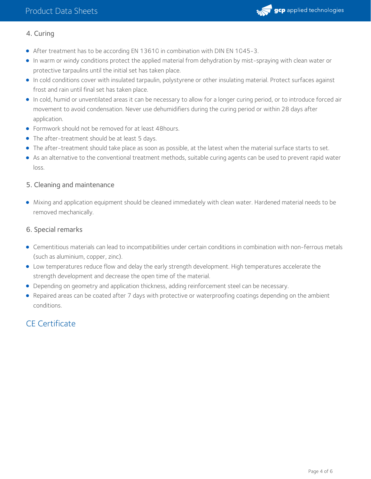

### 4. Curing

- After treatment has to be according EN 13610 in combination with DIN EN 1045-3.
- In warm or windy conditions protect the applied material from dehydration by mist-spraying with clean water or protective tarpaulins until the initial set has taken place.
- In cold conditions cover with insulated tarpaulin, polystyrene or other insulating material. Protect surfaces against frost and rain until final set has taken place.
- In cold, humid or unventilated areas it can be necessary to allow for a longer curing period, or to introduce forced air movement to avoid condensation. Never use dehumidifiers during the curing period or within 28 days after application.
- Formwork should not be removed for at least 48hours.
- The after-treatment should be at least 5 days.
- The after-treatment should take place as soon as possible, at the latest when the material surface starts to set.
- As an alternative to the conventional treatment methods, suitable curing agents can be used to prevent rapid water loss.

#### 5. Cleaning and maintenance

Mixing and application equipment should be cleaned immediately with clean water. Hardened material needs to be removed mechanically.

#### 6. Special remarks

- Cementitious materials can lead to incompatibilities under certain conditions in combination with non-ferrous metals (such as aluminium, copper, zinc).
- Low temperatures reduce flow and delay the early strength development. High temperatures accelerate the strength development and decrease the open time of the material.
- Depending on geometry and application thickness, adding reinforcement steel can be necessary.
- Repaired areas can be coated after 7 days with protective or waterproofing coatings depending on the ambient conditions.

# CE Certificate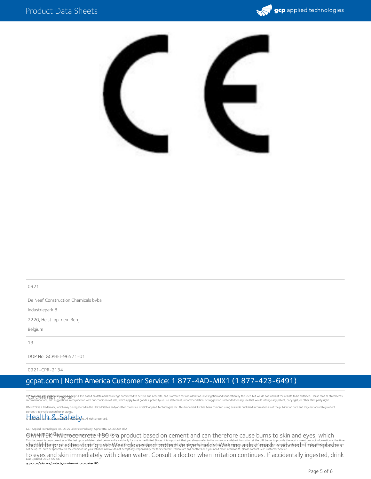



0921

De Neef Construction Chemicals bvba

Industriepark 8

2220, Heist-op-den-Berg

Belgium

13

DOP No. GCPHEI-96571-01

0921-CPR-2134

## gcpat.com | North America Customer Service: 1 877-4AD-MIX1 (1 877-423-6491)

We byne the responsive the helpfull it is based on data and knowledge considered to be true and accurate, and is offered for consideration, investigation and verification by the user, but we do not warrant the results to b which apply to all goods supplied by us. No statement, recommendation, or suggestion is intended for any use that would infringe any patent, copyright, or other third party right

OMNITEK is a trademark, which may be registered in the United States and/or other countries, of GCP Applied Technologies Inc. This trademark list has been compiled using available published information as of the publicatio

current trademark ownership or status.<br><del>4 d.Q. all</del> to BG <mark>Apple da final ti</mark>e Mrc. All rights res © Copyright 2018 GCP Applied Technologies Inc. All rights reserved.

GCP Applied Technologies Inc., 2325 Lakeview Parkway, Alpharetta, GA 30009, USA

©MNITEK®Microconcrete পণ্ডতাগ্ৰু a product based on cement and can therefore cause burns to skin and eyes, which This document is only current as of the last updated date stated below and is valid only for use in the United States. It is important that you always refer to the currently available information at the URL below to provid to eyes and skin immediately with clean water. Consult a doctor when irritation continues. If accidentally ingested, drink Last Updated: 2022-05-06

gcpat.com/solutions/products/omnitek-microconcrete-180